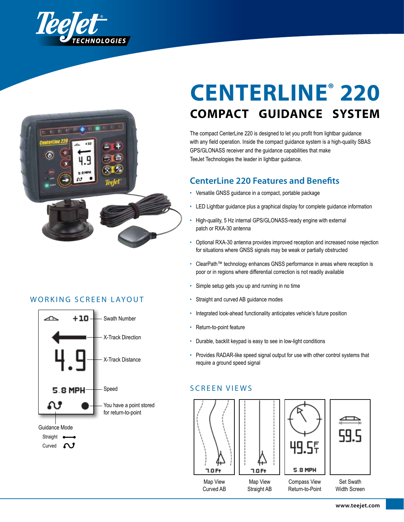



## Working Screen Layout



# **CenterLine® 220 compact guidance system**

The compact CenterLine 220 is designed to let you profit from lightbar guidance with any field operation. Inside the compact guidance system is a high-quality SBAS GPS/GLONASS receiver and the guidance capabilities that make TeeJet Technologies the leader in lightbar guidance.

## **CenterLine 220 Features and Benefits**

- Versatile GNSS guidance in a compact, portable package
- LED Lightbar guidance plus a graphical display for complete guidance information
- High-quality, 5 Hz internal GPS/GLONASS-ready engine with external patch or RXA-30 antenna
- Optional RXA-30 antenna provides improved reception and increased noise rejection for situations where GNSS signals may be weak or partially obstructed
- ClearPath™ technology enhances GNSS performance in areas where reception is poor or in regions where differential correction is not readily available
- Simple setup gets you up and running in no time
- Straight and curved AB guidance modes
- Integrated look-ahead functionality anticipates vehicle's future position
- Return-to-point feature
- Durable, backlit keypad is easy to see in low-light conditions
- Provides RADAR-like speed signal output for use with other control systems that require a ground speed signal

## Screen Vie ws